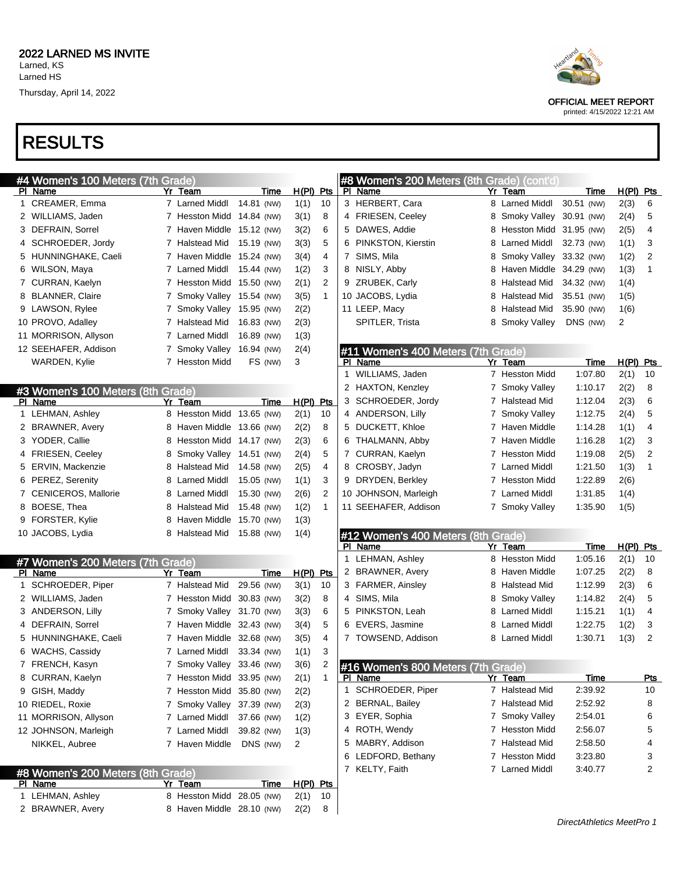## RESULTS

| #4 Women's 100 Meters (7th Grade) |                              |            |             |                |    | #8 Women's 200 Meters (8th Grade) (cont'd) |   |                           |             |                |              |
|-----------------------------------|------------------------------|------------|-------------|----------------|----|--------------------------------------------|---|---------------------------|-------------|----------------|--------------|
| PI Name                           | Yr Team                      | Time       | $H(PI)$ Pts |                |    | PI Name                                    |   | Yr Team                   | Time        | $H(PI)$ Pts    |              |
| 1 CREAMER, Emma                   | 7 Larned Middl               | 14.81 (NW) | 1(1)        | 10             |    | 3 HERBERT, Cara                            |   | 8 Larned Middl            | 30.51 (NW)  | 2(3)           | 6            |
| 2 WILLIAMS, Jaden                 | 7 Hesston Midd 14.84 (NW)    |            | 3(1)        | 8              |    | 4 FRIESEN, Ceeley                          |   | 8 Smoky Valley 30.91 (NW) |             | 2(4)           | 5            |
| 3 DEFRAIN, Sorrel                 | 7 Haven Middle 15.12 (NW)    |            | 3(2)        | 6              |    | 5 DAWES, Addie                             | 8 | Hesston Midd 31.95 (NW)   |             | 2(5)           | 4            |
| 4 SCHROEDER, Jordy                | 7 Halstead Mid 15.19 (NW)    |            | 3(3)        | 5              |    | 6 PINKSTON, Kierstin                       | 8 | Larned Middl              | 32.73 (NW)  | 1(1)           | 3            |
| 5 HUNNINGHAKE, Caeli              | 7 Haven Middle 15.24 (NW)    |            | 3(4)        | 4              | 7  | SIMS, Mila                                 | 8 | Smoky Valley 33.32 (NW)   |             | 1(2)           | 2            |
| 6 WILSON, Maya                    | 7 Larned Middl 15.44 (NW)    |            | 1(2)        | 3              |    | 8 NISLY, Abby                              | 8 | Haven Middle 34.29 (NW)   |             | 1(3)           | $\mathbf{1}$ |
| 7 CURRAN, Kaelyn                  | 7 Hesston Midd 15.50 (NW)    |            | 2(1)        | $\overline{2}$ |    | 9 ZRUBEK, Carly                            | 8 | Halstead Mid 34.32 (NW)   |             | 1(4)           |              |
| 8 BLANNER, Claire                 | 7 Smoky Valley 15.54 (NW)    |            | 3(5)        | $\mathbf{1}$   |    | 10 JACOBS, Lydia                           | 8 | Halstead Mid              | 35.51 (NW)  | 1(5)           |              |
| 9 LAWSON, Rylee                   | 7 Smoky Valley 15.95 (NW)    |            | 2(2)        |                |    | 11 LEEP, Macy                              | 8 | Halstead Mid              | 35.90 (NW)  | 1(6)           |              |
| 10 PROVO, Adalley                 | 7 Halstead Mid 16.83 (NW)    |            | 2(3)        |                |    | SPITLER, Trista                            |   | 8 Smoky Valley            | DNS (NW)    | $\overline{2}$ |              |
| 11 MORRISON, Allyson              | 7 Larned Middl               | 16.89 (NW) | 1(3)        |                |    |                                            |   |                           |             |                |              |
| 12 SEEHAFER, Addison              | 7 Smoky Valley 16.94 (NW)    |            | 2(4)        |                |    | #11 Women's 400 Meters (7th Grade)         |   |                           |             |                |              |
| WARDEN, Kylie                     | 7 Hesston Midd               | FS (NW)    | 3           |                |    | PI Name                                    |   | Yr Team                   | Time        | $H(PI)$ Pts    |              |
|                                   |                              |            |             |                | 1  | WILLIAMS, Jaden                            |   | 7 Hesston Midd            | 1:07.80     | 2(1)           | 10           |
| #3 Women's 100 Meters (8th Grade) |                              |            |             |                |    | 2 HAXTON, Kenzley                          |   | 7 Smoky Valley            | 1:10.17     | 2(2)           | 8            |
| PI Name                           | Yr Team                      | Time       | $H(PI)$ Pts |                | 3  | SCHROEDER, Jordy                           |   | 7 Halstead Mid            | 1:12.04     | 2(3)           | 6            |
| 1 LEHMAN, Ashley                  | 8 Hesston Midd 13.65 (NW)    |            | 2(1)        | 10             |    | 4 ANDERSON, Lilly                          |   | 7 Smoky Valley            | 1:12.75     | 2(4)           | 5            |
| 2 BRAWNER, Avery                  | Haven Middle 13.66 (NW)<br>8 |            | 2(2)        | 8              |    | 5 DUCKETT, Khloe                           |   | 7 Haven Middle            | 1:14.28     | 1(1)           | 4            |
| 3 YODER, Callie                   | Hesston Midd 14.17 (NW)<br>8 |            | 2(3)        | 6              | 6. | THALMANN, Abby                             |   | 7 Haven Middle            | 1:16.28     | 1(2)           | 3            |
| 4 FRIESEN, Ceeley                 | Smoky Valley 14.51 (NW)<br>8 |            | 2(4)        | 5              |    | 7 CURRAN, Kaelyn                           |   | 7 Hesston Midd            | 1:19.08     | 2(5)           | 2            |
| ERVIN, Mackenzie<br>5             | Halstead Mid 14.58 (NW)<br>8 |            | 2(5)        | 4              |    | 8 CROSBY, Jadyn                            |   | 7 Larned Middl            | 1:21.50     | 1(3)           | $\mathbf{1}$ |
| 6 PEREZ, Serenity                 | Larned Middl<br>8            | 15.05 (NW) | 1(1)        | 3              |    | 9 DRYDEN, Berkley                          |   | 7 Hesston Midd            | 1:22.89     | 2(6)           |              |
| 7 CENICEROS, Mallorie             | Larned Middl<br>8            | 15.30 (NW) | 2(6)        | 2              |    | 10 JOHNSON, Marleigh                       |   | 7 Larned Middl            | 1:31.85     | 1(4)           |              |
| 8 BOESE, Thea                     | Halstead Mid<br>8            | 15.48 (NW) | 1(2)        | 1              |    | 11 SEEHAFER, Addison                       |   | 7 Smoky Valley            | 1:35.90     | 1(5)           |              |
| 9 FORSTER, Kylie                  | 8<br>Haven Middle 15.70 (NW) |            | 1(3)        |                |    |                                            |   |                           |             |                |              |
| 10 JACOBS, Lydia                  | 8 Halstead Mid 15.88 (NW)    |            | 1(4)        |                |    | #12 Women's 400 Meters (8th Grade)         |   |                           |             |                |              |
|                                   |                              |            |             |                |    | PI Name                                    |   | Yr Team                   | Time        | $H(PI)$ Pts    |              |
| #7 Women's 200 Meters (7th Grade) |                              |            |             |                | 1  | LEHMAN, Ashley                             |   | 8 Hesston Midd            | 1:05.16     | 2(1)           | 10           |
| PI Name                           | Yr Team                      | Time       | $H(PI)$ Pts |                |    | 2 BRAWNER, Avery                           |   | 8 Haven Middle            | 1:07.25     | 2(2)           | 8            |
| SCHROEDER, Piper<br>$\mathbf{1}$  | 7 Halstead Mid               | 29.56 (NW) | 3(1)        | 10             |    | 3 FARMER, Ainsley                          |   | 8 Halstead Mid            | 1:12.99     | 2(3)           | 6            |
| 2 WILLIAMS, Jaden                 | 7 Hesston Midd 30.83 (NW)    |            | 3(2)        | 8              |    | 4 SIMS, Mila                               |   | 8 Smoky Valley            | 1:14.82     | 2(4)           | 5            |
| 3 ANDERSON, Lilly                 | 7 Smoky Valley 31.70 (NW)    |            | 3(3)        | 6              |    | 5 PINKSTON, Leah                           |   | 8 Larned Middl            | 1:15.21     | 1(1)           | 4            |
| 4 DEFRAIN, Sorrel                 | 7 Haven Middle 32.43 (NW)    |            | 3(4)        | 5              | 6  | EVERS, Jasmine                             |   | 8 Larned Middl            | 1:22.75     | 1(2)           | 3            |
| 5 HUNNINGHAKE, Caeli              | 7 Haven Middle 32.68 (NW)    |            | 3(5)        | 4              |    | 7 TOWSEND, Addison                         |   | 8 Larned Middl            | 1:30.71     | 1(3)           | 2            |
| 6 WACHS, Cassidy                  | 7 Larned Middl               | 33.34 (NW) | 1(1)        | 3              |    |                                            |   |                           |             |                |              |
| 7 FRENCH, Kasyn                   | 7 Smoky Valley 33.46 (NW)    |            | 3(6)        | $\overline{2}$ |    | #16 Women's 800 Meters (7th Grade)         |   |                           |             |                |              |
| 8 CURRAN, Kaelyn                  | 7 Hesston Midd 33.95 (NW)    |            | 2(1)        | 1              |    | <u>PI Name</u>                             |   | Yr Team                   | <u>Time</u> |                | <u>Pts</u>   |
| 9 GISH, Maddy                     | 7 Hesston Midd 35.80 (NW)    |            | 2(2)        |                |    | 1 SCHROEDER, Piper                         |   | 7 Halstead Mid            | 2:39.92     |                | 10           |
| 10 RIEDEL, Roxie                  | 7 Smoky Valley 37.39 (NW)    |            | 2(3)        |                |    | 2 BERNAL, Bailey                           |   | 7 Halstead Mid            | 2:52.92     |                | 8            |
| 11 MORRISON, Allyson              | 7 Larned Middl               | 37.66 (NW) | 1(2)        |                |    | 3 EYER, Sophia                             |   | 7 Smoky Valley            | 2:54.01     |                | 6            |
| 12 JOHNSON, Marleigh              | 7 Larned Middl               | 39.82 (NW) | 1(3)        |                |    | 4 ROTH, Wendy                              |   | 7 Hesston Midd            | 2:56.07     |                | 5            |
| NIKKEL, Aubree                    | 7 Haven Middle               | DNS (NW)   | 2           |                |    | 5 MABRY, Addison                           |   | 7 Halstead Mid            | 2:58.50     |                | 4            |
|                                   |                              |            |             |                |    | 6 LEDFORD, Bethany                         |   | 7 Hesston Midd            | 3:23.80     |                | 3            |
| #8 Women's 200 Meters (8th Grade) |                              |            |             |                |    | 7 KELTY, Faith                             |   | 7 Larned Middl            | 3:40.77     |                | 2            |

PI Name Yr Team Time H(PI) Pts LEHMAN, Ashley 8 Hesston Midd 28.05 (NW) 2(1) 10 2 BRAWNER, Avery 8 Haven Middle 28.10 (NW) 2(2) 8



OFFICIAL MEET REPORT

printed: 4/15/2022 12:21 AM

DirectAthletics MeetPro 1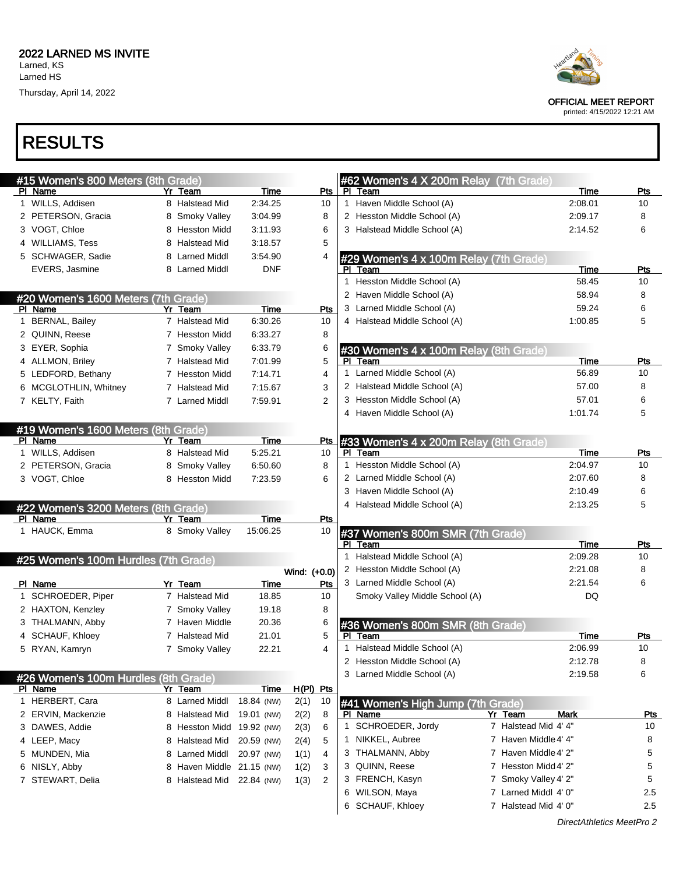Thursday, April 14, 2022



| #15 Women's 800 Meters (8th Grade)             |                |            |              |            |   | #62 Women's 4 X 200m Relay (7th Grade)              |                      |             |            |
|------------------------------------------------|----------------|------------|--------------|------------|---|-----------------------------------------------------|----------------------|-------------|------------|
| PI Name                                        | Yr Team        | Time       |              | Pts        |   | PI Team                                             |                      | Time        | $P$ ts     |
| 1 WILLS, Addisen                               | 8 Halstead Mid | 2:34.25    |              | 10         |   | 1 Haven Middle School (A)                           |                      | 2:08.01     | 10         |
| 2 PETERSON, Gracia                             | 8 Smoky Valley | 3:04.99    |              | 8          |   | 2 Hesston Middle School (A)                         |                      | 2:09.17     | 8          |
| 3 VOGT, Chloe                                  | 8 Hesston Midd | 3:11.93    |              | 6          |   | 3 Halstead Middle School (A)                        |                      | 2:14.52     | 6          |
| 4 WILLIAMS, Tess                               | 8 Halstead Mid | 3:18.57    |              | 5          |   |                                                     |                      |             |            |
| 5 SCHWAGER, Sadie                              | 8 Larned Middl | 3:54.90    |              | 4          |   |                                                     |                      |             |            |
| EVERS, Jasmine                                 | 8 Larned Middl | <b>DNF</b> |              |            |   | #29 Women's 4 x 100m Relay (7th Grade)<br>PI Team   |                      | Time        | Pts        |
|                                                |                |            |              |            |   | 1 Hesston Middle School (A)                         |                      | 58.45       | 10         |
|                                                |                |            |              |            |   | 2 Haven Middle School (A)                           |                      | 58.94       | 8          |
| #20 Women's 1600 Meters (7th Grade)<br>PI Name | Yr Team        | Time       |              | <b>Pts</b> | 3 | Larned Middle School (A)                            |                      | 59.24       | 6          |
| 1 BERNAL, Bailey                               | 7 Halstead Mid | 6:30.26    |              | 10         |   | 4 Halstead Middle School (A)                        |                      | 1:00.85     | 5          |
|                                                | 7 Hesston Midd | 6:33.27    |              | 8          |   |                                                     |                      |             |            |
| 2 QUINN, Reese                                 |                |            |              |            |   |                                                     |                      |             |            |
| 3 EYER, Sophia                                 | 7 Smoky Valley | 6:33.79    |              | 6          |   | #30 Women's 4 x 100m Relay (8th Grade)              |                      |             |            |
| 4 ALLMON, Briley                               | 7 Halstead Mid | 7:01.99    |              | 5          |   | PI Team<br>1 Larned Middle School (A)               |                      | Time        | Pts        |
| 5 LEDFORD, Bethany                             | 7 Hesston Midd | 7:14.71    |              | 4          |   |                                                     |                      | 56.89       | 10         |
| 6 MCGLOTHLIN, Whitney                          | 7 Halstead Mid | 7:15.67    |              | 3          |   | 2 Halstead Middle School (A)                        |                      | 57.00       | 8          |
| 7 KELTY, Faith                                 | 7 Larned Middl | 7:59.91    |              | 2          |   | 3 Hesston Middle School (A)                         |                      | 57.01       | 6          |
|                                                |                |            |              |            |   | 4 Haven Middle School (A)                           |                      | 1:01.74     | 5          |
| #19 Women's 1600 Meters (8th Grade)            |                |            |              |            |   |                                                     |                      |             |            |
| PI Name                                        | Yr Team        | Time       |              | Pts        |   | #33 Women's 4 x 200m Relay (8th Grade)              |                      |             |            |
| 1 WILLS, Addisen                               | 8 Halstead Mid | 5:25.21    |              | 10         |   | PI Team                                             |                      | <b>Time</b> | Pts        |
| 2 PETERSON, Gracia                             | 8 Smoky Valley | 6:50.60    |              | 8          |   | 1 Hesston Middle School (A)                         |                      | 2:04.97     | 10         |
| 3 VOGT, Chloe                                  | 8 Hesston Midd | 7:23.59    |              | 6          |   | 2 Larned Middle School (A)                          |                      | 2:07.60     | 8          |
|                                                |                |            |              |            | 3 | Haven Middle School (A)                             |                      | 2:10.49     | 6          |
| #22 Women's 3200 Meters (8th Grade)            |                |            |              |            |   | 4 Halstead Middle School (A)                        |                      | 2:13.25     | 5          |
| PI Name                                        | Yr Team        | Time       |              | Pts        |   |                                                     |                      |             |            |
| 1 HAUCK, Emma                                  | 8 Smoky Valley | 15:06.25   |              | 10         |   | #37 Women's 800m SMR (7th Grade)                    |                      |             |            |
|                                                |                |            |              |            |   | PI Team                                             |                      | Time        | Pts        |
| #25 Women's 100m Hurdles (7th Grade)           |                |            |              |            |   | 1 Halstead Middle School (A)                        |                      | 2:09.28     | 10         |
|                                                |                |            | Wind: (+0.0) |            |   | 2 Hesston Middle School (A)                         |                      | 2:21.08     | 8          |
| PI Name                                        | Yr Team        | Time       |              | <b>Pts</b> |   | 3 Larned Middle School (A)                          |                      | 2:21.54     | 6          |
| 1 SCHROEDER, Piper                             | 7 Halstead Mid | 18.85      |              | 10         |   | Smoky Valley Middle School (A)                      |                      | DQ          |            |
| 2 HAXTON, Kenzley                              | 7 Smoky Valley | 19.18      |              | 8          |   |                                                     |                      |             |            |
| 3 THALMANN, Abby                               | 7 Haven Middle | 20.36      |              | 6          |   | #36 Women's 800m SMR (8th Grade)                    |                      |             |            |
| 4 SCHAUF, Khloey                               | 7 Halstead Mid | 21.01      |              |            |   | PI Team                                             |                      | <b>Time</b> | <u>Pts</u> |
| 5 RYAN, Kamryn                                 | 7 Smoky Valley | 22.21      |              | 4          |   | 1 Halstead Middle School (A)                        |                      | 2:06.99     | 10         |
|                                                |                |            |              |            |   | 2 Hesston Middle School (A)                         |                      | 2:12.78     | 8          |
| #26 Women's 100m Hurdles (8th Grade)           |                |            |              |            |   | 3 Larned Middle School (A)                          |                      | 2:19.58     | 6          |
| PI Name                                        | Yr Team        | Time       | H(PI) Pts    |            |   |                                                     |                      |             |            |
| 1 HERBERT, Cara                                | 8 Larned Middl | 18.84 (NW) | 2(1)         | 10         |   |                                                     |                      |             |            |
| 2 ERVIN, Mackenzie                             | 8 Halstead Mid | 19.01 (NW) | 2(2)         | 8          |   | #41 Women's High Jump (7th Grade)<br><b>PI Name</b> | Yr Team              | Mark        | <u>Pts</u> |
|                                                | 8 Hesston Midd |            |              |            |   | 1 SCHROEDER, Jordy                                  | 7 Halstead Mid 4' 4" |             | 10         |
| 3 DAWES, Addie                                 |                | 19.92 (NW) | 2(3)         | 6          |   |                                                     |                      |             |            |
| 4 LEEP, Macy                                   | 8 Halstead Mid | 20.59 (NW) | 2(4)         | 5          | 1 | NIKKEL, Aubree                                      | 7 Haven Middle 4' 4" |             | 8          |
| 5 MUNDEN, Mia                                  | 8 Larned Middl | 20.97 (NW) | 1(1)         | 4          |   | 3 THALMANN, Abby                                    | 7 Haven Middle 4' 2" |             | 5          |
| 6 NISLY, Abby                                  | 8 Haven Middle | 21.15 (NW) | 1(2)         | 3          | 3 | QUINN, Reese                                        | 7 Hesston Midd 4' 2" |             | 5          |
| 7 STEWART, Delia                               | 8 Halstead Mid | 22.84 (NW) | 1(3)         | 2          |   | 3 FRENCH, Kasyn                                     | 7 Smoky Valley 4' 2" |             | 5          |
|                                                |                |            |              |            |   | 6 WILSON, Maya                                      | 7 Larned Middl 4' 0" |             | 2.5        |
|                                                |                |            |              |            |   |                                                     |                      |             |            |



OFFICIAL MEET REPORT printed: 4/15/2022 12:21 AM

DirectAthletics MeetPro 2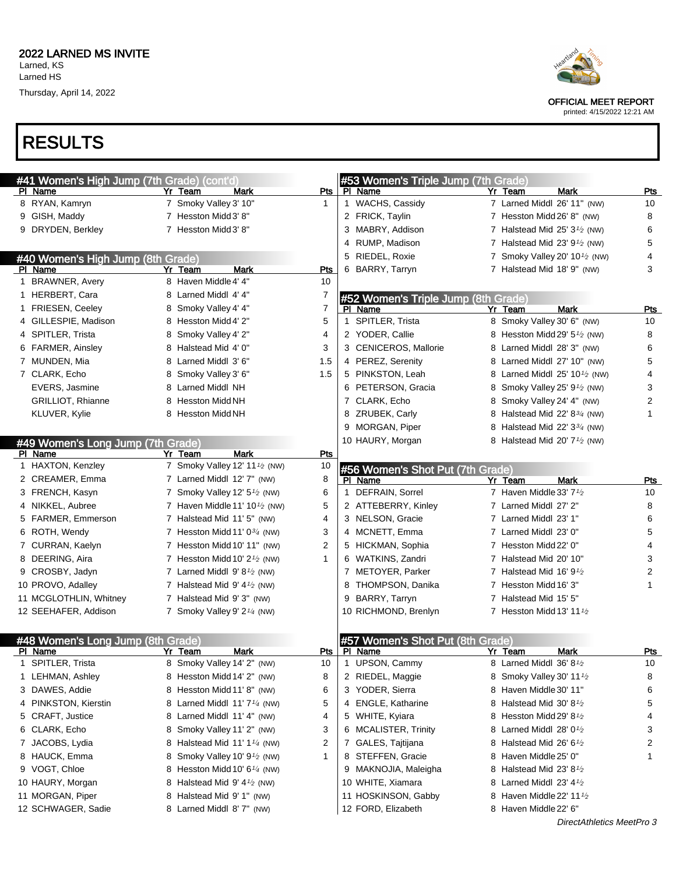

OFFICIAL MEET REPORT

printed: 4/15/2022 12:21 AM

## RESULTS

| #41 Women's High Jump (7th Grade) (cont'd) |                                                        |              | #53 Women's Triple Jump (7th Grade) |                                                       |                |
|--------------------------------------------|--------------------------------------------------------|--------------|-------------------------------------|-------------------------------------------------------|----------------|
| PI Name                                    | Yr Team<br>Mark                                        | Pts          | PI Name                             | <b>Mark</b><br>Yr Team                                | <b>Pts</b>     |
| 8 RYAN, Kamryn                             | 7 Smoky Valley 3' 10"                                  | $\mathbf 1$  | 1 WACHS, Cassidy                    | 7 Larned Middl 26' 11" (NW)                           | 10             |
| 9 GISH, Maddy                              | 7 Hesston Midd 3' 8"                                   |              | 2 FRICK, Taylin                     | 7 Hesston Midd 26' 8" (NW)                            | 8              |
| 9 DRYDEN, Berkley                          | 7 Hesston Midd 3' 8"                                   |              | 3 MABRY, Addison                    | 7 Halstead Mid $25'3'$ (NW)                           | 6              |
|                                            |                                                        |              | 4 RUMP, Madison                     | 7 Halstead Mid 23' $91$ (NW)                          | 5              |
| #40 Women's High Jump (8th Grade)          |                                                        |              | 5 RIEDEL, Roxie                     | 7 Smoky Valley 20' 10 $\frac{1}{2}$ (NW)              | 4              |
| PI Name                                    | <b>Mark</b><br>Yr Team                                 | <b>Pts</b>   | 6 BARRY, Tarryn                     | 7 Halstead Mid 18' 9" (NW)                            | 3              |
| 1 BRAWNER, Avery                           | 8 Haven Middle 4' 4"                                   | 10           |                                     |                                                       |                |
| 1 HERBERT, Cara                            | 8 Larned Middl 4' 4"                                   | 7            | #52 Women's Triple Jump (8th Grade) |                                                       |                |
| 1 FRIESEN, Ceeley                          | 8 Smoky Valley 4' 4"                                   | 7            | PI Name                             | <b>Mark</b><br>Yr Team                                | <b>Pts</b>     |
| 4 GILLESPIE, Madison                       | 8 Hesston Midd 4' 2"                                   | 5            | 1 SPITLER, Trista                   | 8 Smoky Valley 30' 6" (NW)                            | 10             |
| 4 SPITLER, Trista                          | 8 Smoky Valley 4' 2"                                   | 4            | 2 YODER, Callie                     | 8 Hesston Midd 29' 5 <sup>1</sup> / <sub>2</sub> (NW) | 8              |
| 6 FARMER, Ainsley                          | 8 Halstead Mid 4' 0"                                   | 3            | 3 CENICEROS, Mallorie               | 8 Larned Middl 28' 3" (NW)                            | 6              |
| 7 MUNDEN, Mia                              | 8 Larned Middl 3' 6"                                   | 1.5          | 4 PEREZ, Serenity                   | 8 Larned Middl 27' 10" (NW)                           | 5              |
| 7 CLARK, Echo                              | 8 Smoky Valley 3' 6"                                   | 1.5          | 5 PINKSTON, Leah                    | 8 Larned Middl $25'$ 10 $\frac{1}{2}$ (NW)            | 4              |
| <b>EVERS, Jasmine</b>                      | 8 Larned Middl NH                                      |              | 6 PETERSON, Gracia                  | 8 Smoky Valley 25' 9 <sup>1</sup> / <sub>2</sub> (NW) | 3              |
| <b>GRILLIOT, Rhianne</b>                   | 8 Hesston Midd NH                                      |              | 7 CLARK, Echo                       | 8 Smoky Valley 24' 4" (NW)                            | $\overline{c}$ |
| KLUVER, Kylie                              | 8 Hesston Midd NH                                      |              | 8 ZRUBEK, Carly                     | 8 Halstead Mid 22' 8 <sup>3/4</sup> (NW)              | 1              |
|                                            |                                                        |              | 9 MORGAN, Piper                     | 8 Halstead Mid 22' 3 <sup>3/4</sup> (NW)              |                |
| #49 Women's Long Jump (7th Grade)          |                                                        |              | 10 HAURY, Morgan                    | 8 Halstead Mid 20' 7 <sup>1</sup> / <sub>2</sub> (NW) |                |
| PI Name                                    | Yr Team<br>Mark                                        | Pts          |                                     |                                                       |                |
| 1 HAXTON, Kenzley                          | 7 Smoky Valley 12' 11 <sup>1</sup> / <sub>2</sub> (NW) | 10           | #56 Women's Shot Put (7th Grade)    |                                                       |                |
| 2 CREAMER, Emma                            | 7 Larned Middl 12' 7" (NW)                             | 8            | PI Name                             | Yr Team<br>Mark                                       | Pts            |
| 3 FRENCH, Kasyn                            | 7 Smoky Valley 12' 5 <sup>1/2</sup> (NW)               | 6            | 1 DEFRAIN, Sorrel                   | 7 Haven Middle 33' 7 <sup>1</sup> /2                  | 10             |
| 4 NIKKEL, Aubree                           | 7 Haven Middle 11' 10 $\frac{1}{2}$ (NW)               | 5            | 2 ATTEBERRY, Kinley                 | 7 Larned Middl 27' 2"                                 | 8              |
| 5 FARMER, Emmerson                         | 7 Halstead Mid 11' 5" (NW)                             | 4            | 3 NELSON, Gracie                    | 7 Larned Middl 23' 1"                                 | 6              |
| 6 ROTH, Wendy                              | 7 Hesston Midd 11' $0\frac{3}{4}$ (NW)                 | 3            | 4 MCNETT, Emma                      | 7 Larned Middl 23' 0"                                 | 5              |
| 7 CURRAN, Kaelyn                           | 7 Hesston Midd 10' 11" (NW)                            | 2            | 5 HICKMAN, Sophia                   | 7 Hesston Midd 22' 0"                                 | 4              |
| 8 DEERING, Aira                            | 7 Hesston Midd 10' $2\frac{1}{2}$ (NW)                 | $\mathbf{1}$ | 6 WATKINS, Zandri                   | 7 Halstead Mid 20' 10"                                | 3              |
| 9 CROSBY, Jadyn                            | 7 Larned Middl $9' 8\frac{1}{2}$ (NW)                  |              | 7 METOYER, Parker                   | 7 Halstead Mid $16'$ 9 $\frac{1}{2}$                  | $\overline{2}$ |
| 10 PROVO, Adalley                          | 7 Halstead Mid $9'$ 4 $\frac{1}{2}$ (NW)               |              | 8 THOMPSON, Danika                  | 7 Hesston Midd 16' 3"                                 | 1              |
| 11 MCGLOTHLIN, Whitney                     | 7 Halstead Mid 9' 3" (NW)                              |              | 9 BARRY, Tarryn                     | 7 Halstead Mid 15' 5"                                 |                |
| 12 SEEHAFER, Addison                       | 7 Smoky Valley 9' 2 <sup>1/4</sup> (NW)                |              | 10 RICHMOND, Brenlyn                | 7 Hesston Midd 13' 11 $\frac{1}{2}$                   |                |
|                                            |                                                        |              |                                     |                                                       |                |
| #48 Women's Long Jump (8th Grade)          |                                                        |              | #57 Women's Shot Put (8th Grade)    |                                                       |                |
| PI Name                                    | Yr Team<br><b>Mark</b>                                 | Pts          | PI Name                             | <b>Mark</b><br>Yr Team                                | <u>Pts</u>     |
| 1 SPITLER, Trista                          | 8 Smoky Valley 14' 2" (NW)                             | 10           | 1 UPSON, Cammy                      | 8 Larned Middl $36' 8'$                               | 10             |
| 1 LEHMAN, Ashley                           | 8 Hesston Midd 14' 2" (NW)                             | 8            | 2 RIEDEL, Maggie                    | 8 Smoky Valley 30' 11 <sup>1</sup> /2                 | 8              |
| 3 DAWES, Addie                             | 8 Hesston Midd 11' 8" (NW)                             | 6            | 3 YODER, Sierra                     | 8 Haven Middle 30' 11"                                | 6              |
| 4 PINKSTON, Kierstin                       | 8 Larned Middl $11'7'4$ (NW)                           | 5            | 4 ENGLE, Katharine                  | 8 Halstead Mid 30' 8 $\frac{1}{2}$                    | 5              |
| 5 CRAFT, Justice                           | 8 Larned Middl 11' 4" (NW)                             | 4            | 5 WHITE, Kyiara                     | 8 Hesston Midd 29' 8 <sup>1</sup> /2                  | 4              |
| 6 CLARK, Echo                              | 8 Smoky Valley 11' 2" (NW)                             | 3            | 6 MCALISTER, Trinity                | 8 Larned Middl 28' 0 <sup>1</sup> /2                  | 3              |
| 7 JACOBS, Lydia                            | 8 Halstead Mid 11' 1 $\frac{1}{4}$ (NW)                | 2            | 7 GALES, Tajtijana                  | 8 Halstead Mid 26' 6 $\frac{1}{2}$                    | 2              |
| 8 HAUCK, Emma                              | 8 Smoky Valley 10' 9 <sup>1</sup> / <sub>2</sub> (NW)  | $\mathbf 1$  | 8 STEFFEN, Gracie                   | 8 Haven Middle 25' 0"                                 | 1              |
| 9 VOGT, Chloe                              | 8 Hesston Midd 10' $6\frac{1}{4}$ (NW)                 |              | 9 MAKNOJIA, Maleigha                | 8 Halstead Mid 23' $8\frac{1}{2}$                     |                |
| 10 HAURY, Morgan                           | 8 Halstead Mid 9' 4 <sup>1</sup> / <sub>2</sub> (NW)   |              | 10 WHITE, Xiamara                   | 8 Larned Middl 23' $4\frac{1}{2}$                     |                |
| 11 MORGAN, Piper                           | 8 Halstead Mid 9' 1" (NW)                              |              | 11 HOSKINSON, Gabby                 | 8 Haven Middle 22' 11 <sup>1</sup> /2                 |                |
| 12 SCHWAGER, Sadie                         | 8 Larned Middl 8' 7" (NW)                              |              | 12 FORD, Elizabeth                  | 8 Haven Middle 22' 6"                                 |                |
|                                            |                                                        |              |                                     | DirectAthletics MeetPro 3                             |                |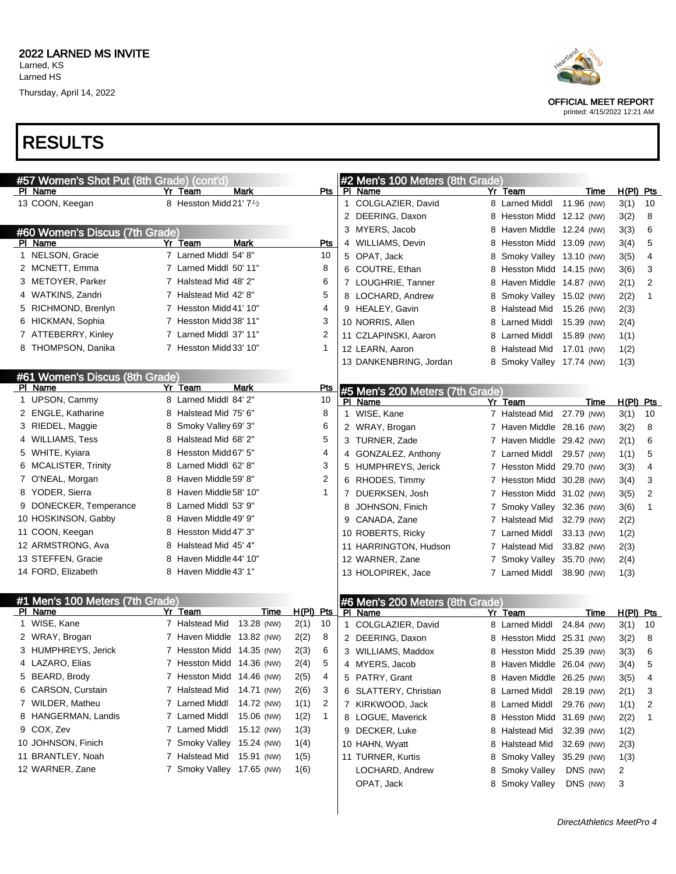## RESULTS

| #57 Women's Shot Put (8th Grade) (cont'd) |                                                  |             |             |                |              | #2 Men's 100 Meters (8th Grade) |   |                           |            |      |             |    |
|-------------------------------------------|--------------------------------------------------|-------------|-------------|----------------|--------------|---------------------------------|---|---------------------------|------------|------|-------------|----|
| PI Name                                   | Yr Team                                          | Mark        |             | Pts            |              | PI Name                         |   | Yr Team                   | Time       |      | $H(PI)$ Pts |    |
| 13 COON, Keegan                           | 8 Hesston Midd 21' 7 <sup>1</sup> / <sub>2</sub> |             |             |                | $\mathbf{1}$ | COLGLAZIER, David               |   | 8 Larned Middl            | 11.96 (NW) | 3(1) |             | 10 |
|                                           |                                                  |             |             |                |              | 2 DEERING, Daxon                | 8 | Hesston Midd 12.12 (NW)   |            | 3(2) |             | 8  |
| #60 Women's Discus (7th Grade)            |                                                  |             |             |                |              | 3 MYERS, Jacob                  | 8 | Haven Middle 12.24 (NW)   |            | 3(3) |             | 6  |
| PI Name                                   | Yr Team                                          | Mark        |             | <b>Pts</b>     |              | 4 WILLIAMS, Devin               | 8 | Hesston Midd 13.09 (NW)   |            | 3(4) |             | 5  |
| 1 NELSON, Gracie                          | 7 Larned Middl 54' 8"                            |             |             | 10             |              | 5 OPAT, Jack                    | 8 | Smoky Valley 13.10 (NW)   |            | 3(5) |             | 4  |
| 2 MCNETT, Emma                            | 7 Larned Middl 50' 11"                           |             |             | 8              |              | 6 COUTRE, Ethan                 | 8 | Hesston Midd 14.15 (NW)   |            | 3(6) |             | 3  |
| 3 METOYER, Parker                         | 7 Halstead Mid 48' 2"                            |             |             | 6              |              | 7 LOUGHRIE, Tanner              | 8 | Haven Middle 14.87 (NW)   |            | 2(1) |             | 2  |
| 4 WATKINS, Zandri                         | 7 Halstead Mid 42' 8"                            |             |             | 5              |              | 8 LOCHARD, Andrew               | 8 | Smoky Valley 15.02 (NW)   |            | 2(2) |             | 1  |
| 5 RICHMOND, Brenlyn                       | 7 Hesston Midd 41' 10"                           |             |             | 4              |              | 9 HEALEY, Gavin                 | 8 | Halstead Mid 15.26 (NW)   |            | 2(3) |             |    |
| 6 HICKMAN, Sophia                         | 7 Hesston Midd 38' 11"                           |             |             | 3              |              | 10 NORRIS, Allen                | 8 | Larned Middl              | 15.39 (NW) | 2(4) |             |    |
| 7 ATTEBERRY, Kinley                       | 7 Larned Middl 37' 11"                           |             |             | 2              |              | 11 CZLAPINSKI, Aaron            | 8 | Larned Middl              | 15.89 (NW) | 1(1) |             |    |
| 8 THOMPSON, Danika                        | 7 Hesston Midd 33' 10"                           |             |             | 1              |              | 12 LEARN, Aaron                 | 8 | Halstead Mid              | 17.01 (NW) | 1(2) |             |    |
|                                           |                                                  |             |             |                |              | 13 DANKENBRING, Jordan          | 8 | Smoky Valley 17.74 (NW)   |            | 1(3) |             |    |
| #61 Women's Discus (8th Grade)            |                                                  |             |             |                |              |                                 |   |                           |            |      |             |    |
| PI Name                                   | Yr Team                                          | <b>Mark</b> |             | Pts            |              | #5 Men's 200 Meters (7th Grade) |   |                           |            |      |             |    |
| 1 UPSON, Cammy                            | 8 Larned Middl 84' 2"                            |             |             | 10             |              | PI Name                         |   | Yr Team                   | Time       |      | $H(PI)$ Pts |    |
| 2 ENGLE, Katharine                        | 8 Halstead Mid 75' 6"                            |             |             | 8              | $\mathbf 1$  | WISE, Kane                      |   | 7 Halstead Mid            | 27.79 (NW) | 3(1) |             | 10 |
| 3 RIEDEL, Maggie                          | 8 Smoky Valley 69' 3"                            |             |             | 6              |              | 2 WRAY, Brogan                  |   | 7 Haven Middle 28.16 (NW) |            | 3(2) |             | 8  |
| 4 WILLIAMS, Tess                          | 8 Halstead Mid 68' 2"                            |             |             | 5              |              | 3 TURNER, Zade                  |   | 7 Haven Middle 29.42 (NW) |            | 2(1) |             | 6  |
| 5 WHITE, Kyiara                           | 8 Hesston Midd 67' 5"                            |             |             | 4              |              | 4 GONZALEZ, Anthony             |   | 7 Larned Middl            | 29.57 (NW) | 1(1) |             | 5  |
| 6 MCALISTER, Trinity                      | 8 Larned Middl 62' 8"                            |             |             | 3              |              | 5 HUMPHREYS, Jerick             |   | 7 Hesston Midd 29.70 (NW) |            | 3(3) |             | 4  |
| 7 O'NEAL, Morgan                          | 8 Haven Middle 59' 8"                            |             |             | $\overline{2}$ |              | 6 RHODES, Timmy                 |   | 7 Hesston Midd 30.28 (NW) |            | 3(4) |             | 3  |
| 8 YODER, Sierra                           | 8 Haven Middle 58' 10"                           |             |             | 1              |              | 7 DUERKSEN, Josh                |   | 7 Hesston Midd 31.02 (NW) |            | 3(5) |             | 2  |
| 9 DONECKER, Temperance                    | 8 Larned Middl 53' 9"                            |             |             |                | 8            | JOHNSON, Finich                 | 7 | Smoky Valley 32.36 (NW)   |            | 3(6) |             | 1  |
| 10 HOSKINSON, Gabby                       | 8 Haven Middle 49' 9"                            |             |             |                |              | 9 CANADA, Zane                  | 7 | Halstead Mid              | 32.79 (NW) | 2(2) |             |    |
| 11 COON, Keegan                           | 8 Hesston Midd 47' 3"                            |             |             |                |              | 10 ROBERTS, Ricky               | 7 | Larned Middl              | 33.13 (NW) | 1(2) |             |    |
| 12 ARMSTRONG, Ava                         | 8 Halstead Mid 45' 4"                            |             |             |                |              | 11 HARRINGTON, Hudson           |   | 7 Halstead Mid            | 33.82 (NW) | 2(3) |             |    |
| 13 STEFFEN, Gracie                        | 8 Haven Middle 44' 10"                           |             |             |                |              | 12 WARNER, Zane                 | 7 | Smoky Valley 35.70 (NW)   |            | 2(4) |             |    |
| 14 FORD, Elizabeth                        | 8 Haven Middle 43' 1"                            |             |             |                |              | 13 HOLOPIREK, Jace              |   | 7 Larned Middl            | 38.90 (NW) | 1(3) |             |    |
|                                           |                                                  |             |             |                |              |                                 |   |                           |            |      |             |    |
| #1 Men's 100 Meters (7th Grade)           |                                                  |             |             |                |              | #6 Men's 200 Meters (8th Grade) |   |                           |            |      |             |    |
| PI Name                                   | Yr Team                                          | Time        | $H(PI)$ Pts |                |              | PI Name                         |   | Yr Team                   | Time       |      | $H(PI)$ Pts |    |
| 1 WISE, Kane                              | 7 Halstead Mid                                   | 13.28 (NW)  | 2(1)        | 10             |              | 1 COLGLAZIER, David             |   | 8 Larned Middl            | 24.84 (NW) | 3(1) |             | 10 |
| 2 WRAY, Brogan                            | 7 Haven Middle 13.82 (NW)                        |             | 2(2)        | 8              |              | 2 DEERING, Daxon                | 8 | Hesston Midd 25.31 (NW)   |            | 3(2) |             | 8  |
| 3 HUMPHREYS, Jerick                       | 7 Hesston Midd 14.35 (NW)                        |             | 2(3)        | 6              |              | 3 WILLIAMS, Maddox              |   | 8 Hesston Midd 25.39 (NW) |            | 3(3) |             | 6  |
| 4 LAZARO, Elias                           | 7 Hesston Midd 14.36 (NW)                        |             | 2(4)        | 5              |              | 4 MYERS, Jacob                  |   | 8 Haven Middle 26.04 (NW) |            | 3(4) |             | 5  |
| 5 BEARD, Brody                            | 7 Hesston Midd 14.46 (NW)                        |             | 2(5)        | 4              |              | 5 PATRY, Grant                  |   | 8 Haven Middle 26.25 (NW) |            | 3(5) |             | 4  |
| 6 CARSON, Curstain                        | 7 Halstead Mid                                   | 14.71 (NW)  | 2(6)        | 3              |              | 6 SLATTERY, Christian           |   | 8 Larned Middl            | 28.19 (NW) | 2(1) |             | 3  |
| 7 WILDER, Matheu                          | 7 Larned Middl                                   | 14.72 (NW)  | 1(1)        | 2              |              | 7 KIRKWOOD, Jack                | 8 | Larned Middl              | 29.76 (NW) | 1(1) |             | 2  |
| 8 HANGERMAN, Landis                       | 7 Larned Middl                                   | 15.06 (NW)  | 1(2)        | 1              |              | 8 LOGUE, Maverick               | 8 | Hesston Midd              | 31.69 (NW) | 2(2) |             | 1  |
| 9 COX, Zev                                | 7 Larned Middl                                   | 15.12 (NW)  | 1(3)        |                |              | 9 DECKER, Luke                  | 8 | <b>Halstead Mid</b>       | 32.39 (NW) | 1(2) |             |    |
| 10 JOHNSON, Finich                        | 7 Smoky Valley 15.24 (NW)                        |             | 1(4)        |                |              | 10 HAHN, Wyatt                  | 8 | Halstead Mid              | 32.69 (NW) | 2(3) |             |    |
| 11 BRANTLEY, Noah                         | 7 Halstead Mid 15.91 (NW)                        |             | 1(5)        |                |              | 11 TURNER, Kurtis               | 8 | <b>Smoky Valley</b>       | 35.29 (NW) | 1(3) |             |    |
| 12 WARNER, Zane                           | 7 Smoky Valley 17.65 (NW)                        |             | 1(6)        |                |              | LOCHARD, Andrew                 | 8 | <b>Smoky Valley</b>       | DNS (NW)   | 2    |             |    |
|                                           |                                                  |             |             |                |              | OPAT, Jack                      |   | 8 Smoky Valley            | DNS (NW)   | 3    |             |    |



OFFICIAL MEET REPORT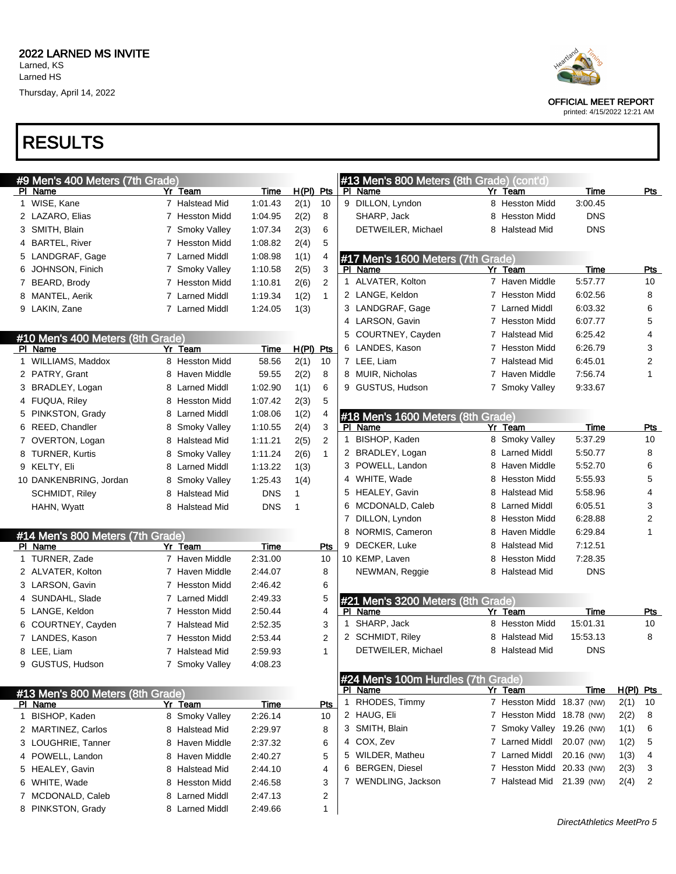# RESULTS

| #9 Men's 400 Meters (7th Grade)  |   |                |                    |              |                |   | #13 Men's 800 Meters (8th Grade) (cont'd)     |   |                           |             |             |                  |
|----------------------------------|---|----------------|--------------------|--------------|----------------|---|-----------------------------------------------|---|---------------------------|-------------|-------------|------------------|
| PI Name                          |   | Yr Team        | Time               | $H(PI)$ Pts  |                |   | PI Name                                       |   | Yr Team                   | <b>Time</b> |             | <u>Pts</u>       |
| 1 WISE, Kane                     |   | 7 Halstead Mid | 1:01.43            | 2(1)         | 10             |   | 9 DILLON, Lyndon                              |   | 8 Hesston Midd            | 3:00.45     |             |                  |
| 2 LAZARO, Elias                  |   | 7 Hesston Midd | 1:04.95            | 2(2)         | 8              |   | SHARP, Jack                                   |   | 8 Hesston Midd            | <b>DNS</b>  |             |                  |
| 3 SMITH, Blain                   |   | 7 Smoky Valley | 1:07.34            | 2(3)         | 6              |   | DETWEILER, Michael                            |   | 8 Halstead Mid            | <b>DNS</b>  |             |                  |
| 4 BARTEL, River                  |   | 7 Hesston Midd | 1:08.82            | 2(4)         | 5              |   |                                               |   |                           |             |             |                  |
| 5 LANDGRAF, Gage                 |   | 7 Larned Middl | 1:08.98            | 1(1)         | 4              |   | #17 Men's 1600 Meters (7th Grade)             |   |                           |             |             |                  |
| 6 JOHNSON, Finich                |   | 7 Smoky Valley | 1:10.58            | 2(5)         | 3              |   | PI Name                                       |   | Yr Team                   | <b>Time</b> |             | Pts              |
| 7 BEARD, Brody                   |   | 7 Hesston Midd | 1:10.81            | 2(6)         | 2              |   | 1 ALVATER, Kolton                             |   | 7 Haven Middle            | 5:57.77     |             | 10               |
| 8 MANTEL, Aerik                  |   | 7 Larned Middl | 1:19.34            | 1(2)         | $\mathbf{1}$   |   | 2 LANGE, Keldon                               |   | 7 Hesston Midd            | 6:02.56     |             | 8                |
| 9 LAKIN, Zane                    |   | 7 Larned Middl | 1:24.05            | 1(3)         |                |   | 3 LANDGRAF, Gage                              |   | 7 Larned Middl            | 6:03.32     |             | 6                |
|                                  |   |                |                    |              |                |   | 4 LARSON, Gavin                               |   | 7 Hesston Midd            | 6:07.77     |             | 5                |
| #10 Men's 400 Meters (8th Grade) |   |                |                    |              |                | 5 | COURTNEY, Cayden                              |   | 7 Halstead Mid            | 6:25.42     |             | 4                |
| PI Name                          |   | Yr Team        | <b>Time</b>        | $H(PI)$ Pts  |                |   | 6 LANDES, Kason                               |   | 7 Hesston Midd            | 6:26.79     |             | 3                |
| 1 WILLIAMS, Maddox               |   | 8 Hesston Midd | 58.56              | 2(1)         | 10             |   | 7 LEE, Liam                                   |   | 7 Halstead Mid            | 6:45.01     |             | $\overline{2}$   |
| 2 PATRY, Grant                   |   | 8 Haven Middle | 59.55              | 2(2)         | 8              |   | 8 MUIR, Nicholas                              |   | 7 Haven Middle            | 7:56.74     |             | 1                |
| 3 BRADLEY, Logan                 |   | 8 Larned Middl | 1:02.90            | 1(1)         | 6              |   | 9 GUSTUS, Hudson                              |   | 7 Smoky Valley            | 9:33.67     |             |                  |
| 4 FUQUA, Riley                   |   | 8 Hesston Midd | 1:07.42            | 2(3)         | 5              |   |                                               |   |                           |             |             |                  |
| 5 PINKSTON, Grady                |   | 8 Larned Middl | 1:08.06            | 1(2)         | 4              |   | #18 Men's 1600 Meters (8th Grade)             |   |                           |             |             |                  |
| 6 REED, Chandler                 | 8 | Smoky Valley   | 1:10.55            | 2(4)         | 3              |   | PI Name                                       |   | Yr Team                   | Time        |             | Pts              |
| 7 OVERTON, Logan                 |   | 8 Halstead Mid | 1:11.21            | 2(5)         | 2              | 1 | BISHOP, Kaden                                 |   | 8 Smoky Valley            | 5:37.29     |             | 10               |
| 8 TURNER, Kurtis                 | 8 | Smoky Valley   | 1:11.24            | 2(6)         | $\mathbf{1}$   |   | 2 BRADLEY, Logan                              |   | 8 Larned Middl            | 5:50.77     |             | 8                |
| 9 KELTY, Eli                     | 8 | Larned Middl   | 1:13.22            | 1(3)         |                |   | 3 POWELL, Landon                              |   | 8 Haven Middle            | 5:52.70     |             | 6                |
| 10 DANKENBRING, Jordan           |   | 8 Smoky Valley | 1:25.43            | 1(4)         |                |   | 4 WHITE, Wade                                 |   | 8 Hesston Midd            | 5:55.93     |             | 5                |
| <b>SCHMIDT, Riley</b>            | 8 | Halstead Mid   | <b>DNS</b>         | 1            |                |   | 5 HEALEY, Gavin                               |   | 8 Halstead Mid            | 5:58.96     |             | 4                |
| HAHN, Wyatt                      |   | 8 Halstead Mid | <b>DNS</b>         | $\mathbf{1}$ |                |   | 6 MCDONALD, Caleb                             |   | 8 Larned Middl            | 6:05.51     |             | 3                |
|                                  |   |                |                    |              |                | 7 | DILLON, Lyndon                                | 8 | Hesston Midd              | 6:28.88     |             | 2                |
|                                  |   |                |                    |              |                | 8 | NORMIS, Cameron                               | 8 | Haven Middle              | 6:29.84     |             | 1                |
| #14 Men's 800 Meters (7th Grade) |   | Yr Team        |                    |              | Pts            |   | 9 DECKER, Luke                                | 8 | Halstead Mid              | 7:12.51     |             |                  |
| PI Name<br>1 TURNER, Zade        |   | 7 Haven Middle | Time<br>2:31.00    |              | 10             |   | 10 KEMP, Laven                                | 8 | <b>Hesston Midd</b>       | 7:28.35     |             |                  |
| 2 ALVATER, Kolton                |   | 7 Haven Middle | 2:44.07            |              | 8              |   | NEWMAN, Reggie                                |   | 8 Halstead Mid            | <b>DNS</b>  |             |                  |
| 3 LARSON, Gavin                  |   | 7 Hesston Midd | 2:46.42            |              | 6              |   |                                               |   |                           |             |             |                  |
| 4 SUNDAHL, Slade                 |   | 7 Larned Middl | 2:49.33            |              | 5              |   |                                               |   |                           |             |             |                  |
| 5 LANGE, Keldon                  |   | 7 Hesston Midd |                    |              | 4              |   | #21 Men's 3200 Meters (8th Grade)             |   | Yr Team                   | <b>Time</b> |             |                  |
| 6 COURTNEY, Cayden               |   | 7 Halstead Mid | 2:50.44            |              | 3              | 1 | PI Name<br>SHARP, Jack                        |   | 8 Hesston Midd            | 15:01.31    |             | <u>Pts</u><br>10 |
| 7 LANDES, Kason                  |   | 7 Hesston Midd | 2:52.35            |              | $\overline{2}$ |   | 2 SCHMIDT, Riley                              |   | 8 Halstead Mid            | 15:53.13    |             | 8                |
|                                  |   |                | 2:53.44<br>2:59.93 |              | $\mathbf{1}$   |   | DETWEILER, Michael                            |   | 8 Halstead Mid            | <b>DNS</b>  |             |                  |
| 8 LEE, Liam                      |   | 7 Halstead Mid |                    |              |                |   |                                               |   |                           |             |             |                  |
| 9 GUSTUS, Hudson                 |   | 7 Smoky Valley | 4:08.23            |              |                |   |                                               |   |                           |             |             |                  |
|                                  |   |                |                    |              |                |   | #24 Men's 100m Hurdles (7th Grade)<br>PI Name |   | Yr Team                   | <b>Time</b> | $H(PI)$ Pts |                  |
| #13 Men's 800 Meters (8th Grade) |   |                |                    |              |                |   | 1 RHODES, Timmy                               |   | 7 Hesston Midd 18.37 (NW) |             | 2(1)        | 10               |
| PI Name                          |   | Yr Team        | <b>Time</b>        |              | Pts            |   | 2 HAUG, Eli                                   |   | 7 Hesston Midd 18.78 (NW) |             |             |                  |
| 1 BISHOP, Kaden                  |   | 8 Smoky Valley | 2:26.14            |              | 10             |   | 3 SMITH, Blain                                |   | 7 Smoky Valley 19.26 (NW) |             | 2(2)        | 8                |
| 2 MARTINEZ, Carlos               |   | 8 Halstead Mid | 2:29.97            |              | 8              |   | 4 COX, Zev                                    |   | 7 Larned Middl            |             | 1(1)        | 6                |
| 3 LOUGHRIE, Tanner               |   | 8 Haven Middle | 2:37.32            |              | 6              |   | 5 WILDER, Matheu                              |   | 7 Larned Middl            | 20.07 (NW)  | 1(2)        | 5                |
| 4 POWELL, Landon                 |   | 8 Haven Middle | 2:40.27            |              | 5              |   |                                               |   |                           | 20.16 (NW)  | 1(3)        | 4                |
| 5 HEALEY, Gavin                  |   | 8 Halstead Mid | 2:44.10            |              | 4              |   | 6 BERGEN, Diesel                              |   | 7 Hesston Midd 20.33 (NW) |             | 2(3)        | 3                |
| 6 WHITE, Wade                    |   | 8 Hesston Midd | 2:46.58            |              | 3              |   | 7 WENDLING, Jackson                           |   | 7 Halstead Mid 21.39 (NW) |             | 2(4)        | 2                |
| 7 MCDONALD, Caleb                |   | 8 Larned Middl | 2:47.13            |              | 2              |   |                                               |   |                           |             |             |                  |
| 8 PINKSTON, Grady                |   | 8 Larned Middl | 2:49.66            |              |                |   |                                               |   |                           |             |             |                  |



OFFICIAL MEET REPORT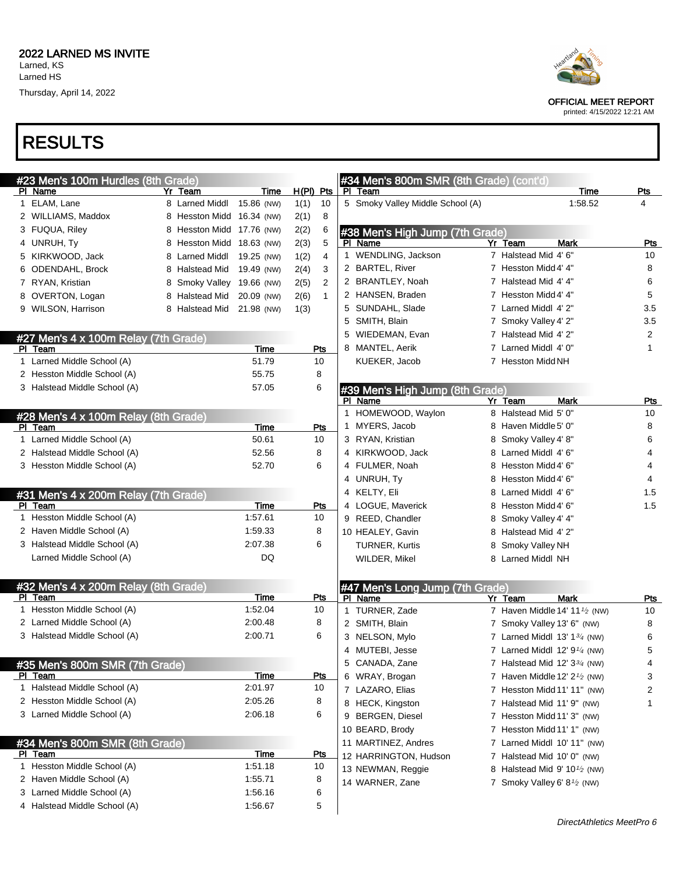## RESULTS

| #23 Men's 100m Hurdles (8th Grade)   |                           |             |                      |   | #34 Men's 800m SMR (8th Grade) (cont'd) |                                          |         |              |
|--------------------------------------|---------------------------|-------------|----------------------|---|-----------------------------------------|------------------------------------------|---------|--------------|
| PI Name                              | Yr Team                   | Time        | $H(PI)$ Pts          |   | PI Team                                 |                                          | Time    | <u>Pts</u>   |
| 1 ELAM, Lane                         | 8 Larned Middl            | 15.86 (NW)  | 1(1)<br>10           |   | 5 Smoky Valley Middle School (A)        |                                          | 1:58.52 | 4            |
| 2 WILLIAMS, Maddox                   | 8 Hesston Midd 16.34 (NW) |             | 2(1)<br>8            |   |                                         |                                          |         |              |
| 3 FUQUA, Riley                       | 8 Hesston Midd 17.76 (NW) |             | 2(2)<br>6            |   | #38 Men's High Jump (7th Grade)         |                                          |         |              |
| 4 UNRUH, Ty                          | 8 Hesston Midd 18.63 (NW) |             | 2(3)<br>5            |   | PI Name                                 | Yr Team<br>Mark                          |         | <b>Pts</b>   |
| 5 KIRKWOOD, Jack                     | 8 Larned Middl            | 19.25 (NW)  | 1(2)<br>4            |   | 1 WENDLING, Jackson                     | 7 Halstead Mid 4' 6"                     |         | 10           |
| 6 ODENDAHL, Brock                    | 8 Halstead Mid            | 19.49 (NW)  | 2(4)<br>3            |   | 2 BARTEL, River                         | 7 Hesston Midd 4' 4"                     |         | 8            |
| 7 RYAN, Kristian                     | 8 Smoky Valley 19.66 (NW) |             | 2(5)<br>2            |   | 2 BRANTLEY, Noah                        | 7 Halstead Mid 4' 4"                     |         | 6            |
| 8 OVERTON, Logan                     | 8 Halstead Mid            | 20.09 (NW)  | 2(6)<br>$\mathbf{1}$ |   | 2 HANSEN, Braden                        | 7 Hesston Midd 4' 4"                     |         | 5            |
| 9 WILSON, Harrison                   | 8 Halstead Mid            | 21.98 (NW)  | 1(3)                 |   | 5 SUNDAHL, Slade                        | 7 Larned Middl 4' 2"                     |         | 3.5          |
|                                      |                           |             |                      |   | 5 SMITH, Blain                          | 7 Smoky Valley 4' 2"                     |         | 3.5          |
| #27 Men's 4 x 100m Relay (7th Grade) |                           |             |                      |   | 5 WIEDEMAN, Evan                        | 7 Halstead Mid 4' 2"                     |         | 2            |
| PI Team                              |                           | Time        | Pts                  |   | 8 MANTEL, Aerik                         | 7 Larned Middl 4' 0"                     |         | $\mathbf{1}$ |
| 1 Larned Middle School (A)           |                           | 51.79       | 10                   |   | KUEKER, Jacob                           | 7 Hesston Midd NH                        |         |              |
| 2 Hesston Middle School (A)          |                           | 55.75       | 8                    |   |                                         |                                          |         |              |
| 3 Halstead Middle School (A)         |                           | 57.05       | 6                    |   | #39 Men's High Jump (8th Grade)         |                                          |         |              |
|                                      |                           |             |                      |   | PI Name                                 | <b>Mark</b><br>$Yr$ Team                 |         | Pts          |
| #28 Men's 4 x 100m Relay (8th Grade) |                           |             |                      |   | 1 HOMEWOOD, Waylon                      | 8 Halstead Mid 5' 0"                     |         | 10           |
| PI Team                              |                           | Time        | Pts                  |   | 1 MYERS, Jacob                          | 8 Haven Middle 5' 0"                     |         | 8            |
| 1 Larned Middle School (A)           |                           | 50.61       | 10                   |   | 3 RYAN, Kristian                        | 8 Smoky Valley 4' 8"                     |         | 6            |
| 2 Halstead Middle School (A)         |                           | 52.56       | 8                    |   | 4 KIRKWOOD, Jack                        | 8 Larned Middl 4' 6"                     |         | 4            |
| 3 Hesston Middle School (A)          |                           | 52.70       | 6                    |   | 4 FULMER, Noah                          | 8 Hesston Midd 4' 6"                     |         | 4            |
|                                      |                           |             |                      |   | 4 UNRUH, Ty                             | 8 Hesston Midd 4' 6"                     |         | 4            |
| #31 Men's 4 x 200m Relay (7th Grade) |                           |             |                      |   | 4 KELTY, Eli                            | 8 Larned Middl 4' 6"                     |         | 1.5          |
| PI Team                              |                           | Time        | Pts                  |   | 4 LOGUE, Maverick                       | 8 Hesston Midd 4' 6"                     |         | 1.5          |
| 1 Hesston Middle School (A)          |                           | 1:57.61     | 10                   |   | 9 REED, Chandler                        | 8 Smoky Valley 4' 4"                     |         |              |
| 2 Haven Middle School (A)            |                           | 1:59.33     | 8                    |   | 10 HEALEY, Gavin                        | 8 Halstead Mid 4' 2"                     |         |              |
| 3 Halstead Middle School (A)         |                           | 2:07.38     | 6                    |   | <b>TURNER, Kurtis</b>                   | 8 Smoky Valley NH                        |         |              |
| Larned Middle School (A)             |                           | DQ          |                      |   | WILDER, Mikel                           | 8 Larned Middl NH                        |         |              |
|                                      |                           |             |                      |   |                                         |                                          |         |              |
| #32 Men's 4 x 200m Relay (8th Grade) |                           |             |                      |   | #47 Men's Long Jump (7th Grade)         |                                          |         |              |
| PI Team                              |                           | Time        | Pts                  |   | PI Name                                 | Yr Team<br><b>Mark</b>                   |         | Pts          |
| 1 Hesston Middle School (A)          |                           | 1:52.04     | 10                   |   | 1 TURNER, Zade                          | 7 Haven Middle 14' 11 $\frac{1}{2}$ (NW) |         | 10           |
| 2 Larned Middle School (A)           |                           | 2:00.48     | 8                    |   | 2 SMITH, Blain                          | 7 Smoky Valley 13' 6" (NW)               |         | 8            |
| 3 Halstead Middle School (A)         |                           | 2:00.71     | 6                    |   | 3 NELSON, Mylo                          | 7 Larned Middl $13' 13/4$ (NW)           |         | 6            |
|                                      |                           |             |                      |   | 4 MUTEBI, Jesse                         | 7 Larned Middl $12' 91/4$ (NW)           |         | 5            |
| #35 Men's 800m SMR (7th Grade)       |                           |             |                      |   | 5 CANADA, Zane                          | 7 Halstead Mid 12' $3\frac{3}{4}$ (NW)   |         | 4            |
| PI Team                              |                           | Time        | <u>Pts</u>           |   | 6 WRAY, Brogan                          | 7 Haven Middle 12' $2\frac{1}{2}$ (NW)   |         | 3            |
| 1 Halstead Middle School (A)         |                           | 2:01.97     | 10                   |   | 7 LAZARO, Elias                         | 7 Hesston Midd 11' 11" (NW)              |         | 2            |
| 2 Hesston Middle School (A)          |                           | 2:05.26     | 8                    |   | 8 HECK, Kingston                        | 7 Halstead Mid 11' 9" (NW)               |         | 1            |
| 3 Larned Middle School (A)           |                           | 2:06.18     | 6                    | 9 | <b>BERGEN, Diesel</b>                   | 7 Hesston Midd 11' 3" (NW)               |         |              |
|                                      |                           |             |                      |   | 10 BEARD, Brody                         | 7 Hesston Midd 11' 1" (NW)               |         |              |
| #34 Men's 800m SMR (8th Grade)       |                           |             |                      |   | 11 MARTINEZ, Andres                     | 7 Larned Middl 10' 11" (NW)              |         |              |
| <u>PI Team</u>                       |                           | <b>Time</b> | <u>Pts</u>           |   | 12 HARRINGTON, Hudson                   | 7 Halstead Mid 10' 0" (NW)               |         |              |
| 1 Hesston Middle School (A)          |                           | 1:51.18     | 10                   |   | 13 NEWMAN, Reggie                       | 8 Halstead Mid 9' $10\frac{1}{2}$ (NW)   |         |              |
| 2 Haven Middle School (A)            |                           | 1:55.71     | 8                    |   | 14 WARNER, Zane                         | 7 Smoky Valley 6' $8\frac{1}{2}$ (NW)    |         |              |
| 3 Larned Middle School (A)           |                           | 1:56.16     | 6                    |   |                                         |                                          |         |              |
| 4 Halstead Middle School (A)         |                           | 1:56.67     | 5                    |   |                                         |                                          |         |              |
|                                      |                           |             |                      |   |                                         |                                          |         |              |



OFFICIAL MEET REPORT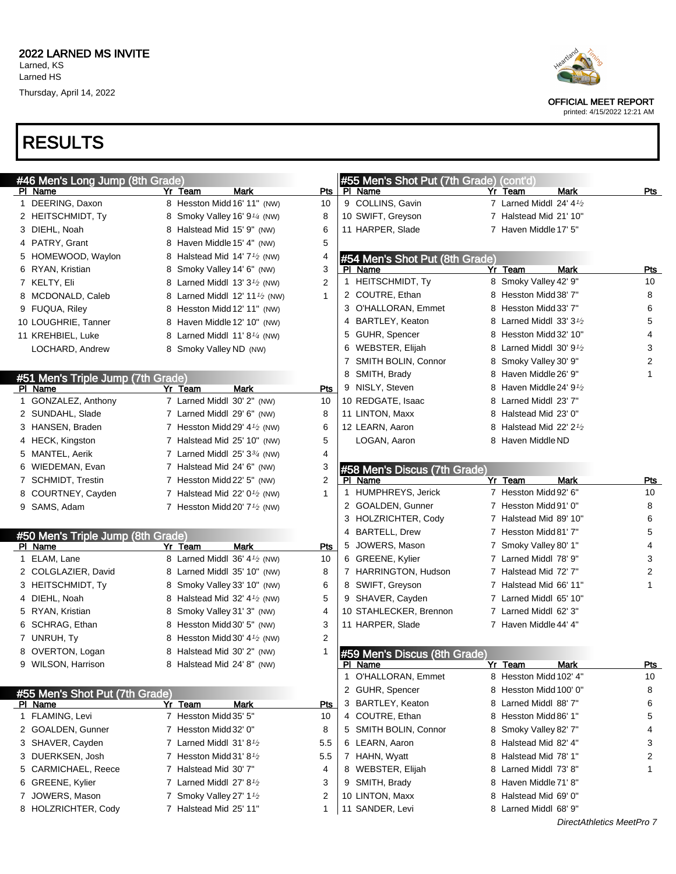# RESULTS

| #46 Men's Long Jump (8th Grade)   | Yr Team<br>Mark                                        |                | #55 Men's Shot Put (7th Grade) (cont'd) | Yr Team<br><b>Mark</b>               | Pts        |
|-----------------------------------|--------------------------------------------------------|----------------|-----------------------------------------|--------------------------------------|------------|
| PI Name<br>1 DEERING, Daxon       | 8 Hesston Midd 16' 11" (NW)                            | Pts<br>10      | PI Name<br>9 COLLINS, Gavin             | 7 Larned Middl 24' $4\frac{1}{2}$    |            |
| 2 HEITSCHMIDT, Ty                 | 8 Smoky Valley 16' 9 <sup>1</sup> /4 (NW)              | 8              | 10 SWIFT, Greyson                       | 7 Halstead Mid 21' 10"               |            |
| 3 DIEHL, Noah                     | 8 Halstead Mid 15' 9" (NW)                             | 6              | 11 HARPER, Slade                        | 7 Haven Middle 17' 5"                |            |
| 4 PATRY, Grant                    |                                                        | 5              |                                         |                                      |            |
|                                   | 8 Haven Middle 15' 4" (NW)                             |                |                                         |                                      |            |
| 5 HOMEWOOD, Waylon                | 8 Halstead Mid 14' $7\frac{1}{2}$ (NW)                 | 4<br>3         | #54 Men's Shot Put (8th Grade)          | Yr Team<br>Mark                      |            |
| 6 RYAN, Kristian                  | 8 Smoky Valley 14' 6" (NW)                             |                | PI Name<br>1 HEITSCHMIDT, Ty            | 8 Smoky Valley 42' 9"                | Pts<br>10  |
| 7 KELTY, Eli                      | 8 Larned Middl $13'3'$ (NW)                            | 2              | 2 COUTRE, Ethan                         | 8 Hesston Midd 38' 7"                | 8          |
| 8 MCDONALD, Caleb                 | 8 Larned Middl 12' 11 <sup>1</sup> / <sub>2</sub> (NW) | 1              | 3 O'HALLORAN, Emmet                     | 8 Hesston Midd 33' 7"                | 6          |
| 9 FUQUA, Riley                    | 8 Hesston Midd 12' 11" (NW)                            |                | 4 BARTLEY, Keaton                       | 8 Larned Middl $33'3'$               | 5          |
| 10 LOUGHRIE, Tanner               | 8 Haven Middle 12' 10" (NW)                            |                |                                         |                                      | 4          |
| 11 KREHBIEL, Luke                 | 8 Larned Middl $11' 8'$ (NW)                           |                | 5 GUHR, Spencer                         | 8 Hesston Midd 32' 10"               |            |
| LOCHARD, Andrew                   | 8 Smoky Valley ND (NW)                                 |                | 6 WEBSTER, Elijah                       | 8 Larned Middl 30' 9 <sup>1</sup> /2 | 3          |
|                                   |                                                        |                | 7 SMITH BOLIN, Connor                   | 8 Smoky Valley 30' 9"                | 2          |
| #51 Men's Triple Jump (7th Grade) |                                                        |                | 8 SMITH, Brady                          | 8 Haven Middle 26' 9"                | 1          |
| PI Name                           | <b>Mark</b><br>Yr Team                                 | Pts            | 9 NISLY, Steven                         | 8 Haven Middle 24' 9 <sup>1</sup> /2 |            |
| 1 GONZALEZ, Anthony               | 7 Larned Middl 30' 2" (NW)                             | 10             | 10 REDGATE, Isaac                       | 8 Larned Middl 23' 7"                |            |
| 2 SUNDAHL, Slade                  | 7 Larned Middl 29' 6" (NW)                             | 8              | 11 LINTON, Maxx                         | 8 Halstead Mid 23' 0"                |            |
| 3 HANSEN, Braden                  | 7 Hesston Midd 29' $4\frac{1}{2}$ (NW)                 | 6              | 12 LEARN, Aaron                         | 8 Halstead Mid 22' $2\frac{1}{2}$    |            |
| 4 HECK, Kingston                  | 7 Halstead Mid 25' 10" (NW)                            | 5              | LOGAN, Aaron                            | 8 Haven Middle ND                    |            |
| 5 MANTEL, Aerik                   | 7 Larned Middl $25'3^{3/4}$ (NW)                       | 4              |                                         |                                      |            |
| 6 WIEDEMAN, Evan                  | 7 Halstead Mid 24' 6" (NW)                             | 3              | #58 Men's Discus (7th Grade)            |                                      |            |
| 7 SCHMIDT, Trestin                | 7 Hesston Midd 22' 5" (NW)                             | $\overline{2}$ | PI Name                                 | Yr Team<br>Mark                      | Pts        |
| 8 COURTNEY, Cayden                | 7 Halstead Mid 22' $0\frac{1}{2}$ (NW)                 | 1              | 1 HUMPHREYS, Jerick                     | 7 Hesston Midd 92' 6"                | 10         |
| 9 SAMS, Adam                      | 7 Hesston Midd 20' $7\frac{1}{2}$ (NW)                 |                | 2 GOALDEN, Gunner                       | 7 Hesston Midd 91' 0"                | 8          |
|                                   |                                                        |                | 3 HOLZRICHTER, Cody                     | 7 Halstead Mid 89' 10"               | 6          |
| #50 Men's Triple Jump (8th Grade) |                                                        |                | 4 BARTELL, Drew                         | 7 Hesston Midd 81' 7"                | 5          |
| PI Name                           | <b>Mark</b><br>Yr Team                                 | Pts            | 5 JOWERS, Mason                         | 7 Smoky Valley 80' 1"                | 4          |
| 1 ELAM, Lane                      | 8 Larned Middl 36' 4 <sup>1</sup> / <sub>2</sub> (NW)  | 10             | 6 GREENE, Kylier                        | 7 Larned Middl 78' 9"                | 3          |
| 2 COLGLAZIER, David               | 8 Larned Middl 35' 10" (NW)                            | 8              | 7 HARRINGTON, Hudson                    | 7 Halstead Mid 72' 7"                | 2          |
| 3 HEITSCHMIDT, Ty                 | 8 Smoky Valley 33' 10" (NW)                            | 6              | 8 SWIFT, Greyson                        | 7 Halstead Mid 66' 11"               | 1          |
| 4 DIEHL, Noah                     | 8 Halstead Mid 32' 4 <sup>1/2</sup> (NW)               | 5              | 9 SHAVER, Cayden                        | 7 Larned Middl 65' 10"               |            |
| 5 RYAN, Kristian                  | 8 Smoky Valley 31' 3" (NW)                             | 4              | 10 STAHLECKER, Brennon                  | 7 Larned Middl 62' 3"                |            |
| 6 SCHRAG, Ethan                   | 8 Hesston Midd 30' 5" (NW)                             | 3              | 11 HARPER, Slade                        | 7 Haven Middle 44' 4"                |            |
| 7 UNRUH, Ty                       | 8 Hesston Midd 30' 4 <sup>1/2</sup> (NW)               | 2              |                                         |                                      |            |
| 8 OVERTON, Logan                  | 8 Halstead Mid 30' 2" (NW)                             | 1              | #59 Men's Discus (8th Grade)            |                                      |            |
| 9 WILSON, Harrison                | 8 Halstead Mid 24' 8" (NW)                             |                | PI Name                                 | Yr Team<br><b>Mark</b>               | <u>Pts</u> |
|                                   |                                                        |                | 1 O'HALLORAN, Emmet                     | 8 Hesston Midd 102' 4"               | 10         |
| #55 Men's Shot Put (7th Grade)    |                                                        |                | 2 GUHR, Spencer                         | 8 Hesston Midd 100' 0"               | 8          |
| PI Name                           | Yr Team<br>Mark                                        | <u>Pts</u>     | 3 BARTLEY, Keaton                       | 8 Larned Middl 88'7"                 | 6          |
| 1 FLAMING, Levi                   | 7 Hesston Midd 35' 5"                                  | 10             | 4 COUTRE, Ethan                         | 8 Hesston Midd 86' 1"                | 5          |
| 2 GOALDEN, Gunner                 | 7 Hesston Midd 32' 0"                                  | 8              | 5 SMITH BOLIN, Connor                   | 8 Smoky Valley 82' 7"                | 4          |
| 3 SHAVER, Cayden                  | 7 Larned Middl $31'8\frac{1}{2}$                       | 5.5            | 6 LEARN, Aaron                          | 8 Halstead Mid 82' 4"                | 3          |
| 3 DUERKSEN, Josh                  | 7 Hesston Midd 31' 8 $\frac{1}{2}$                     | 5.5            | 7 HAHN, Wyatt                           | 8 Halstead Mid 78' 1"                | 2          |
| 5 CARMICHAEL, Reece               | 7 Halstead Mid 30' 7"                                  | 4              | 8 WEBSTER, Elijah                       | 8 Larned Middl 73' 8"                | 1          |
| 6 GREENE, Kylier                  | 7 Larned Middl $27' 8'$                                | 3              | 9 SMITH, Brady                          | 8 Haven Middle 71' 8"                |            |
| 7 JOWERS, Mason                   | 7 Smoky Valley 27' 1 <sup>1</sup> /2                   | 2              | 10 LINTON, Maxx                         | 8 Halstead Mid 69' 0"                |            |
| 8 HOLZRICHTER, Cody               | 7 Halstead Mid 25' 11"                                 | 1              | 11 SANDER, Levi                         | 8 Larned Middl 68' 9"                |            |
|                                   |                                                        |                |                                         |                                      |            |





OFFICIAL MEET REPORT